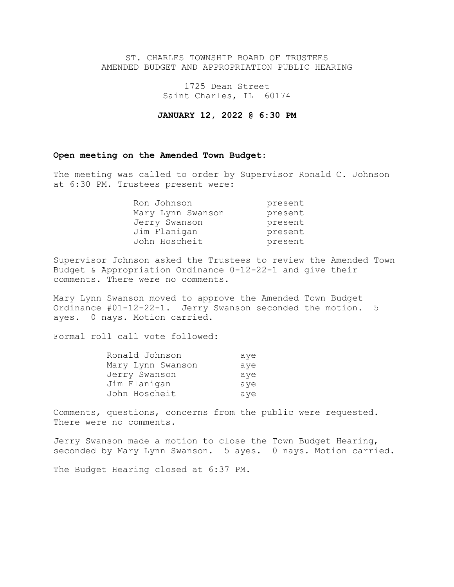## ST. CHARLES TOWNSHIP BOARD OF TRUSTEES AMENDED BUDGET AND APPROPRIATION PUBLIC HEARING

1725 Dean Street Saint Charles, IL 60174

**JANUARY 12, 2022 @ 6:30 PM**

## **Open meeting on the Amended Town Budget:**

The meeting was called to order by Supervisor Ronald C. Johnson at 6:30 PM. Trustees present were:

| Ron Johnson       | present |
|-------------------|---------|
| Mary Lynn Swanson | present |
| Jerry Swanson     | present |
| Jim Flanigan      | present |
| John Hoscheit     | present |

Supervisor Johnson asked the Trustees to review the Amended Town Budget & Appropriation Ordinance 0-12-22-1 and give their comments. There were no comments.

Mary Lynn Swanson moved to approve the Amended Town Budget Ordinance #01-12-22-1. Jerry Swanson seconded the motion. 5 ayes. 0 nays. Motion carried.

Formal roll call vote followed:

| Ronald Johnson    | aye |
|-------------------|-----|
| Mary Lynn Swanson | ave |
| Jerry Swanson     | ave |
| Jim Flanigan      | ave |
| John Hoscheit     | aye |

Comments, questions, concerns from the public were requested. There were no comments.

Jerry Swanson made a motion to close the Town Budget Hearing, seconded by Mary Lynn Swanson. 5 ayes. 0 nays. Motion carried.

The Budget Hearing closed at 6:37 PM.